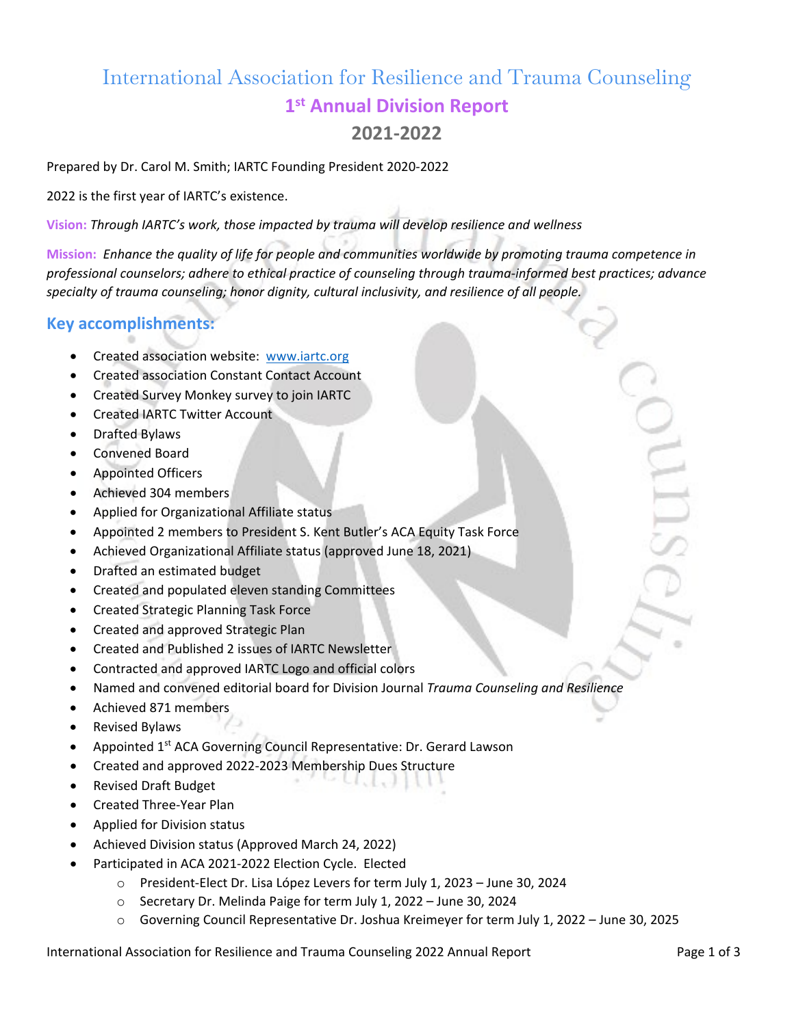# International Association for Resilience and Trauma Counseling **1st Annual Division Report**

## **2021-2022**

Prepared by Dr. Carol M. Smith; IARTC Founding President 2020-2022

2022 is the first year of IARTC's existence.

**Vision:** *Through IARTC's work, those impacted by trauma will develop resilience and wellness*

**Mission:** *Enhance the quality of life for people and communities worldwide by promoting trauma competence in professional counselors; adhere to ethical practice of counseling through trauma-informed best practices; advance specialty of trauma counseling; honor dignity, cultural inclusivity, and resilience of all people.*

#### **Key accomplishments:**

- Created association website: [www.iartc.org](http://www.iartc.org/)
- Created association Constant Contact Account
- Created Survey Monkey survey to join IARTC
- Created IARTC Twitter Account
- Drafted Bylaws
- Convened Board
- Appointed Officers
- Achieved 304 members
- Applied for Organizational Affiliate status
- Appointed 2 members to President S. Kent Butler's ACA Equity Task Force
- Achieved Organizational Affiliate status (approved June 18, 2021)
- Drafted an estimated budget
- Created and populated eleven standing Committees
- Created Strategic Planning Task Force
- Created and approved Strategic Plan
- Created and Published 2 issues of IARTC Newsletter
- Contracted and approved IARTC Logo and official colors
- Named and convened editorial board for Division Journal *Trauma Counseling and Resilience*
- Achieved 871 members
- Revised Bylaws
- Appointed 1<sup>st</sup> ACA Governing Council Representative: Dr. Gerard Lawson
- Created and approved 2022-2023 Membership Dues Structure
- Revised Draft Budget
- Created Three-Year Plan
- Applied for Division status
- Achieved Division status (Approved March 24, 2022)
- Participated in ACA 2021-2022 Election Cycle. Elected
	- o President-Elect Dr. Lisa López Levers for term July 1, 2023 June 30, 2024
	- o Secretary Dr. Melinda Paige for term July 1, 2022 June 30, 2024
	- o Governing Council Representative Dr. Joshua Kreimeyer for term July 1, 2022 June 30, 2025

International Association for Resilience and Trauma Counseling 2022 Annual Report Page 1 of 3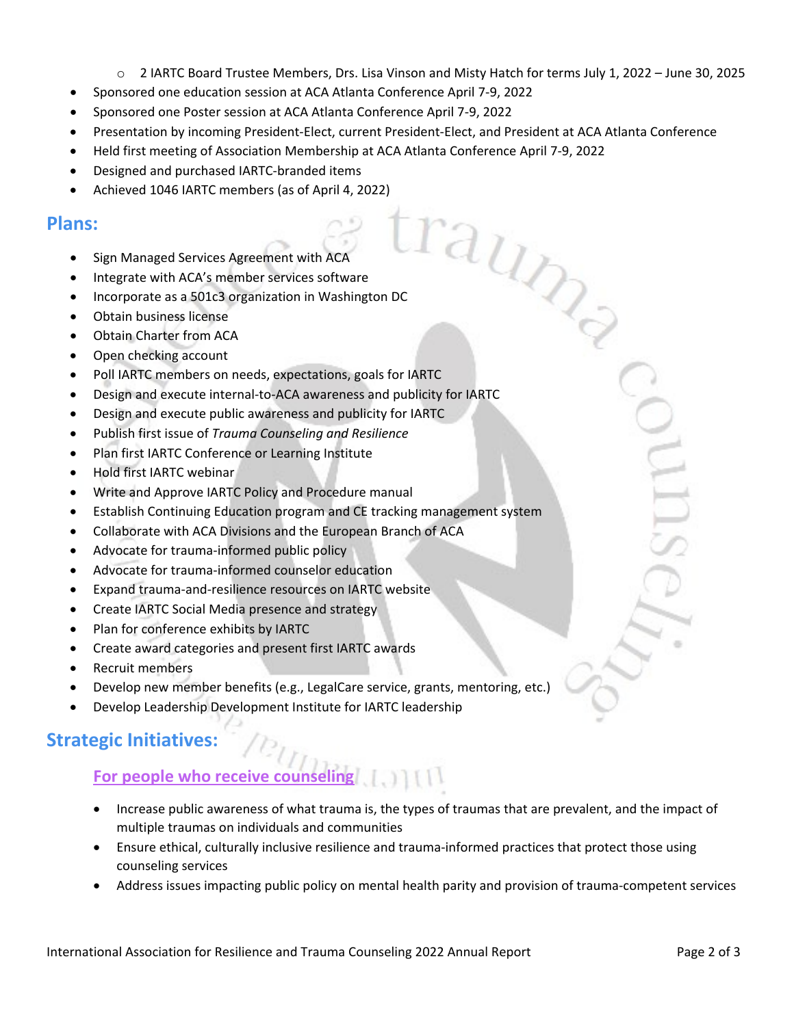o 2 IARTC Board Trustee Members, Drs. Lisa Vinson and Misty Hatch for terms July 1, 2022 – June 30, 2025

raund

- Sponsored one education session at ACA Atlanta Conference April 7-9, 2022
- Sponsored one Poster session at ACA Atlanta Conference April 7-9, 2022
- Presentation by incoming President-Elect, current President-Elect, and President at ACA Atlanta Conference
- Held first meeting of Association Membership at ACA Atlanta Conference April 7-9, 2022
- Designed and purchased IARTC-branded items
- Achieved 1046 IARTC members (as of April 4, 2022)

### **Plans:**

- Sign Managed Services Agreement with ACA
- Integrate with ACA's member services software
- Incorporate as a 501c3 organization in Washington DC
- Obtain business license
- Obtain Charter from ACA
- Open checking account
- Poll IARTC members on needs, expectations, goals for IARTC
- Design and execute internal-to-ACA awareness and publicity for IARTC
- Design and execute public awareness and publicity for IARTC
- Publish first issue of *Trauma Counseling and Resilience*
- Plan first IARTC Conference or Learning Institute
- Hold first IARTC webinar
- Write and Approve IARTC Policy and Procedure manual
- Establish Continuing Education program and CE tracking management system
- Collaborate with ACA Divisions and the European Branch of ACA
- Advocate for trauma-informed public policy
- Advocate for trauma-informed counselor education
- Expand trauma-and-resilience resources on IARTC website
- Create IARTC Social Media presence and strategy
- Plan for conference exhibits by IARTC
- Create award categories and present first IARTC awards
- Recruit members
- Develop new member benefits (e.g., LegalCare service, grants, mentoring, etc.)
- Develop Leadership Development Institute for IARTC leadership

## **Strategic Initiatives:**

## **For people who receive counseling**

- Increase public awareness of what trauma is, the types of traumas that are prevalent, and the impact of multiple traumas on individuals and communities
- Ensure ethical, culturally inclusive resilience and trauma-informed practices that protect those using counseling services
- Address issues impacting public policy on mental health parity and provision of trauma-competent services